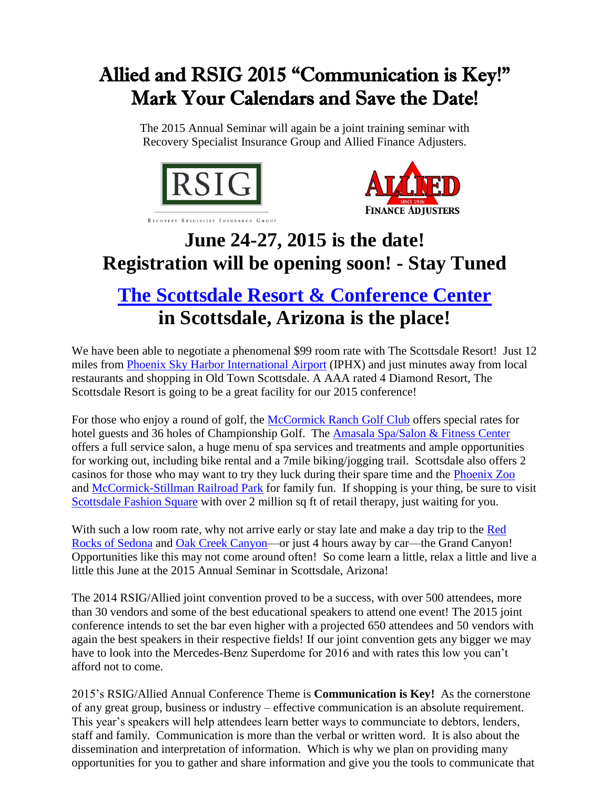## Allied and RSIG 2015 "Communication is Key!" Mark Your Calendars and Save the Date!

The 2015 Annual Seminar will again be a joint training seminar with Recovery Specialist Insurance Group and Allied Finance Adjusters.





## **June 24-27, 2015 is the date! Registration will be opening soon! - Stay Tuned**

## **[The Scottsdale Resort & Conference Center](http://www.thescottsdaleresort.com/) in Scottsdale, Arizona is the place!**

We have been able to negotiate a phenomenal \$99 room rate with The Scottsdale Resort! Just 12 miles from [Phoenix Sky Harbor International Airport](https://skyharbor.com/) (IPHX) and just minutes away from local restaurants and shopping in Old Town Scottsdale. A AAA rated 4 Diamond Resort, The Scottsdale Resort is going to be a great facility for our 2015 conference!

For those who enjoy a round of golf, the [McCormick Ranch Golf Club](http://www.thescottsdaleresort.com/scottsdale/mccormick_ranch_golf/) offers special rates for hotel guests and 36 holes of Championship Golf. The [Amasala Spa/Salon & Fitness Center](http://www.thescottsdaleresort.com/amansala_spa_salon/) offers a full service salon, a huge menu of spa services and treatments and ample opportunities for working out, including bike rental and a 7mile biking/jogging trail. Scottsdale also offers 2 casinos for those who may want to try they luck during their spare time and the [Phoenix Zoo](http://phoenixzoo.org/) and [McCormick-Stillman Railroad Park](http://therailroadpark.com/) for family fun. If shopping is your thing, be sure to visit [Scottsdale Fashion Square](http://www.fashionsquare.com/) with over 2 million sq ft of retail therapy, just waiting for you.

With such a low room rate, why not arrive early or stay late and make a day trip to the [Red](http://visitsedona.com/)  [Rocks of Sedona](http://visitsedona.com/) and [Oak Creek Canyon—](http://www.arizona-leisure.com/oak-creek-canyon-drive.html)or just 4 hours away by car—the Grand Canyon! Opportunities like this may not come around often! So come learn a little, relax a little and live a little this June at the 2015 Annual Seminar in Scottsdale, Arizona!

The 2014 RSIG/Allied joint convention proved to be a success, with over 500 attendees, more than 30 vendors and some of the best educational speakers to attend one event! The 2015 joint conference intends to set the bar even higher with a projected 650 attendees and 50 vendors with again the best speakers in their respective fields! If our joint convention gets any bigger we may have to look into the Mercedes-Benz Superdome for 2016 and with rates this low you can't afford not to come.

2015's RSIG/Allied Annual Conference Theme is **Communication is Key!** As the cornerstone of any great group, business or industry – effective communication is an absolute requirement. This year's speakers will help attendees learn better ways to communciate to debtors, lenders, staff and family. Communication is more than the verbal or written word. It is also about the dissemination and interpretation of information. Which is why we plan on providing many opportunities for you to gather and share information and give you the tools to communicate that